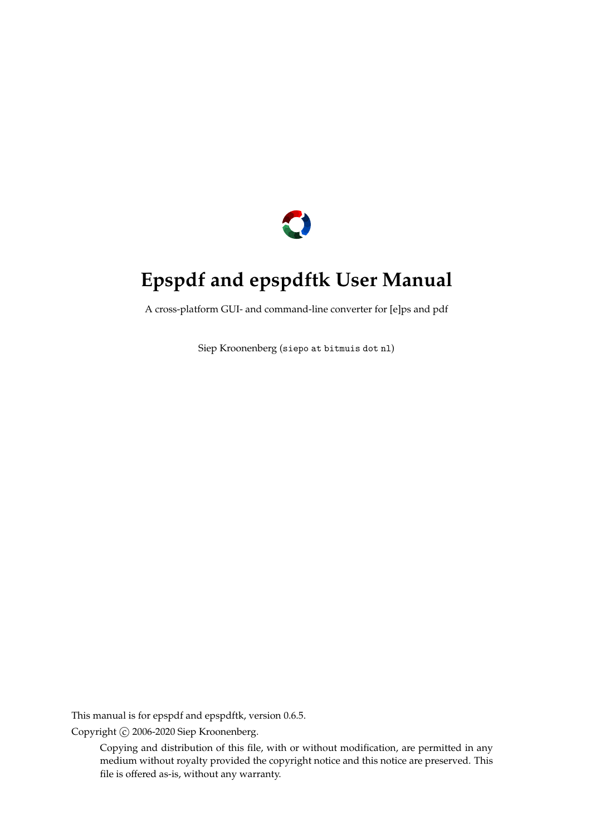

# **Epspdf and epspdftk User Manual**

A cross-platform GUI- and command-line converter for [e]ps and pdf

Siep Kroonenberg ([siepo at bitmuis dot nl](mailto:siepo at bitmuis dot nl))

This manual is for epspdf and epspdftk, version 0.6.5.

Copyright C 2006-2020 Siep Kroonenberg.

Copying and distribution of this file, with or without modification, are permitted in any medium without royalty provided the copyright notice and this notice are preserved. This file is offered as-is, without any warranty.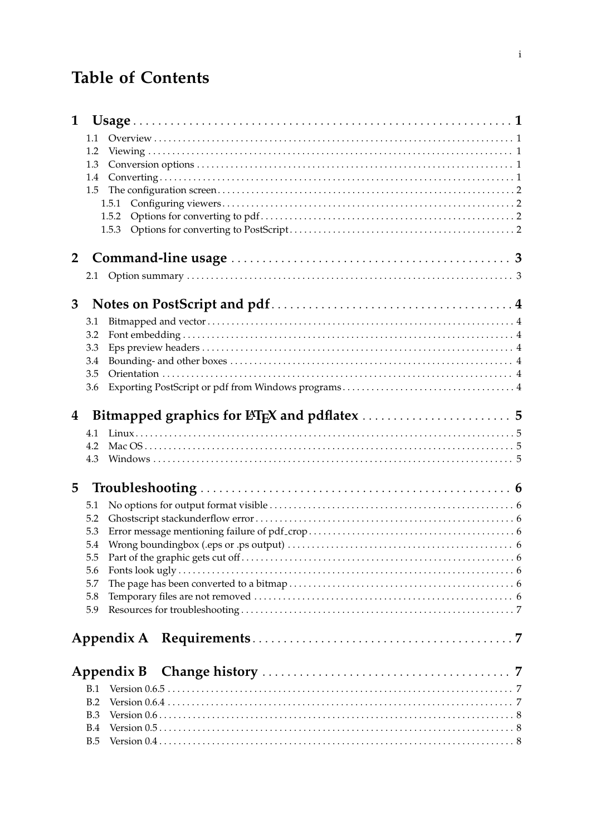# **Table of Contents**

| 1              |            |  |
|----------------|------------|--|
|                | 1.1        |  |
|                | 1.2        |  |
|                | 1.3        |  |
|                | 1.4        |  |
|                | 1.5        |  |
|                | 1.5.1      |  |
|                | 1.5.2      |  |
|                | 1.5.3      |  |
| $\overline{2}$ |            |  |
|                |            |  |
|                |            |  |
| 3              |            |  |
|                | 3.1        |  |
|                | 3.2        |  |
|                | 3.3        |  |
|                | 3.4        |  |
|                | 3.5        |  |
|                | 3.6        |  |
| 4              |            |  |
|                | 4.1        |  |
|                | 4.2        |  |
|                | 4.3        |  |
|                |            |  |
| 5              |            |  |
|                | 5.1        |  |
|                | 5.2        |  |
|                | 5.3        |  |
|                | 5.4        |  |
|                | 5.5        |  |
|                | 5.6        |  |
|                | 5.7<br>5.8 |  |
|                | 5.9        |  |
|                |            |  |
|                |            |  |
|                |            |  |
|                | Appendix B |  |
|                | B.1        |  |
|                | B.2        |  |
|                | B.3        |  |
|                | B.4        |  |
|                | B.5        |  |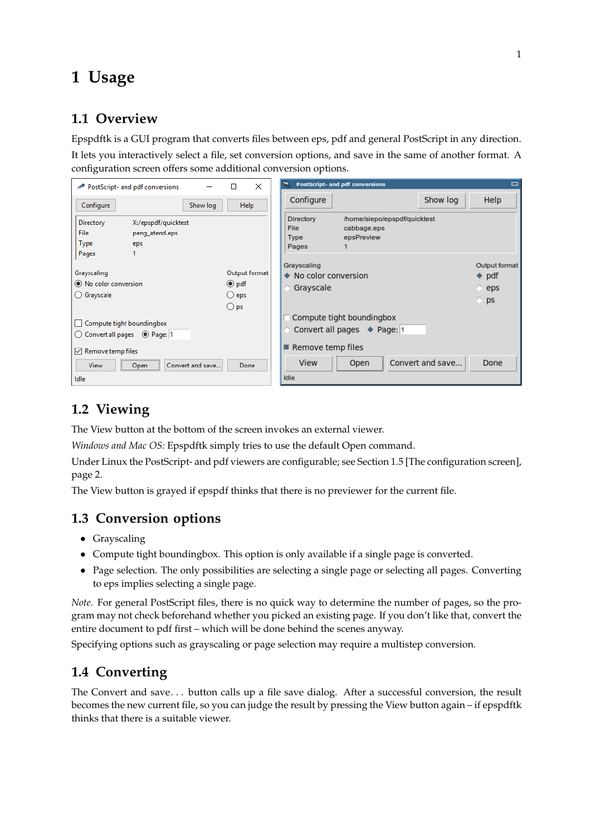# <span id="page-2-0"></span>**1 Usage**

# **1.1 Overview**

Epspdftk is a GUI program that converts files between eps, pdf and general PostScript in any direction. It lets you interactively select a file, set conversion options, and save in the same of another format. A configuration screen offers some additional conversion options.

| $\times$                               | <b>PostScript- and pdf conversions</b>          |
|----------------------------------------|-------------------------------------------------|
| PostScript- and pdf conversions        | ٧n                                              |
| П                                      | $\Box$                                          |
| Help                                   | Show log                                        |
| Configure                              | Configure                                       |
| Show log                               | Help                                            |
| Directory                              | Directory                                       |
| X:/epspdf/quicktest                    | /home/siepo/epspdf/quicktest                    |
| File                                   | File                                            |
| peng_atend.eps                         | cabbage.eps                                     |
| Type                                   | epsPreview                                      |
| eps                                    | Type                                            |
| Pages                                  | Pages                                           |
| Output format                          | Grayscaling                                     |
| Grayscaling                            | Output format                                   |
| ● No color conversion                  | ◆ No color conversion                           |
| $\odot$ pdf                            | $\bullet$ pdf                                   |
| ○ Grayscale                            | ◇ Grayscale                                     |
| $\bigcirc$ eps                         | $\Diamond$ eps                                  |
| $\bigcirc$ ps                          | $\Diamond$ ps                                   |
| Compute tight boundingbox              | Compute tight boundingbox                       |
|                                        | $\Diamond$ Convert all pages $\Diamond$ Page: 1 |
| $\sqrt{\phantom{a}}$ Remove temp files | $\blacksquare$ Remove temp files                |
| Convert and save                       | Convert and save                                |
| <b>View</b>                            | View                                            |
| Done                                   | Done                                            |
| Open                                   | Open                                            |
| Idle                                   | Idle                                            |

## **1.2 Viewing**

The View button at the bottom of the screen invokes an external viewer.

*Windows and Mac OS:* Epspdftk simply tries to use the default Open command.

Under Linux the PostScript- and pdf viewers are configurable; see [Section 1.5 \[The configuration screen\],](#page-3-0) [page 2.](#page-3-0)

The View button is grayed if epspdf thinks that there is no previewer for the current file.

## **1.3 Conversion options**

- Grayscaling
- Compute tight boundingbox. This option is only available if a single page is converted.
- Page selection. The only possibilities are selecting a single page or selecting all pages. Converting to eps implies selecting a single page.

*Note.* For general PostScript files, there is no quick way to determine the number of pages, so the program may not check beforehand whether you picked an existing page. If you don't like that, convert the entire document to pdf first – which will be done behind the scenes anyway.

Specifying options such as grayscaling or page selection may require a multistep conversion.

# **1.4 Converting**

The Convert and save. . . button calls up a file save dialog. After a successful conversion, the result becomes the new current file, so you can judge the result by pressing the View button again – if epspdftk thinks that there is a suitable viewer.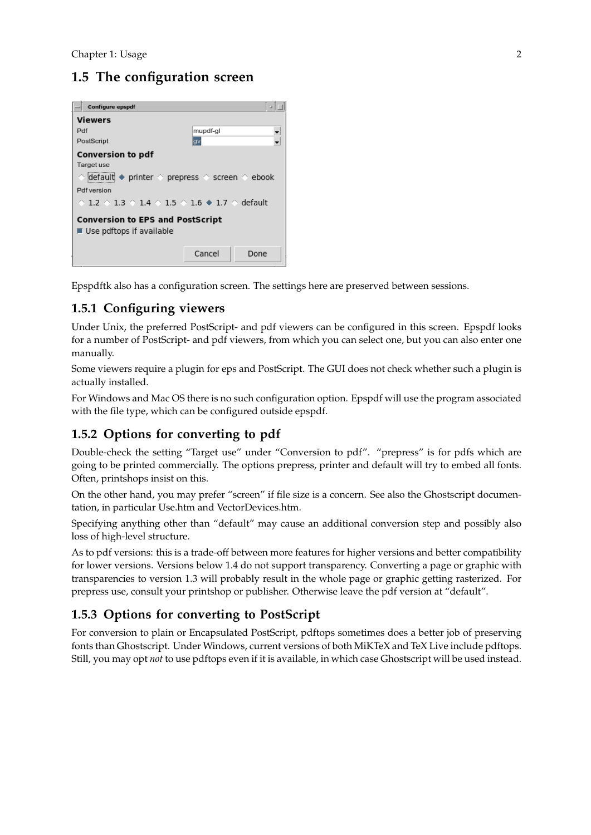# <span id="page-3-0"></span>**1.5 The configuration screen**



Epspdftk also has a configuration screen. The settings here are preserved between sessions.

#### **1.5.1 Configuring viewers**

Under Unix, the preferred PostScript- and pdf viewers can be configured in this screen. Epspdf looks for a number of PostScript- and pdf viewers, from which you can select one, but you can also enter one manually.

Some viewers require a plugin for eps and PostScript. The GUI does not check whether such a plugin is actually installed.

For Windows and Mac OS there is no such configuration option. Epspdf will use the program associated with the file type, which can be configured outside epspdf.

#### **1.5.2 Options for converting to pdf**

Double-check the setting "Target use" under "Conversion to pdf". "prepress" is for pdfs which are going to be printed commercially. The options prepress, printer and default will try to embed all fonts. Often, printshops insist on this.

On the other hand, you may prefer "screen" if file size is a concern. See also the Ghostscript documentation, in particular Use.htm and VectorDevices.htm.

Specifying anything other than "default" may cause an additional conversion step and possibly also loss of high-level structure.

As to pdf versions: this is a trade-off between more features for higher versions and better compatibility for lower versions. Versions below 1.4 do not support transparency. Converting a page or graphic with transparencies to version 1.3 will probably result in the whole page or graphic getting rasterized. For prepress use, consult your printshop or publisher. Otherwise leave the pdf version at "default".

#### **1.5.3 Options for converting to PostScript**

For conversion to plain or Encapsulated PostScript, pdftops sometimes does a better job of preserving fonts than Ghostscript. Under Windows, current versions of both MiKTeX and TeX Live include pdftops. Still, you may opt *not* to use pdftops even if it is available, in which case Ghostscript will be used instead.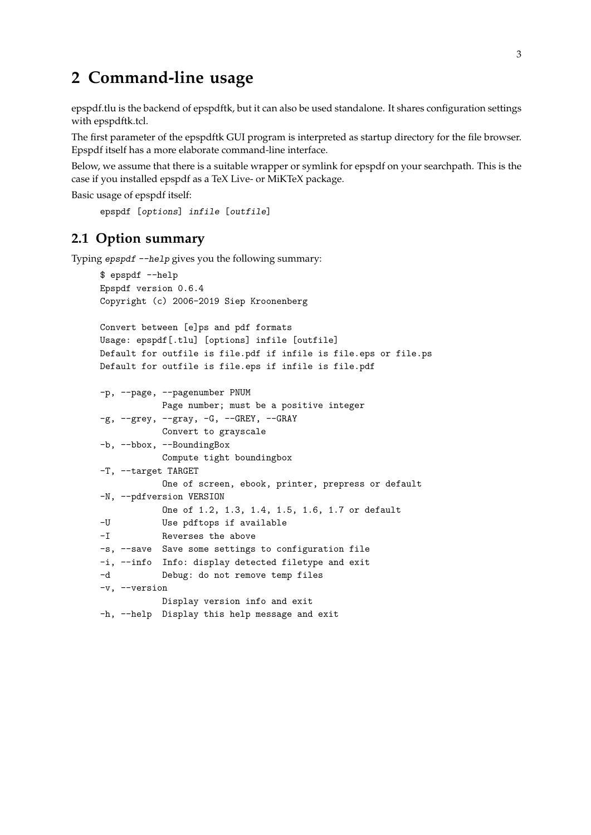# <span id="page-4-0"></span>**2 Command-line usage**

epspdf.tlu is the backend of epspdftk, but it can also be used standalone. It shares configuration settings with epspdftk.tcl.

The first parameter of the epspdftk GUI program is interpreted as startup directory for the file browser. Epspdf itself has a more elaborate command-line interface.

Below, we assume that there is a suitable wrapper or symlink for epspdf on your searchpath. This is the case if you installed epspdf as a TeX Live- or MiKTeX package.

```
Basic usage of epspdf itself:
```

```
epspdf [options] infile [outfile]
```
#### **2.1 Option summary**

Typing epspdf --help gives you the following summary:

```
$ epspdf --help
Epspdf version 0.6.4
Copyright (c) 2006-2019 Siep Kroonenberg
Convert between [e]ps and pdf formats
Usage: epspdf[.tlu] [options] infile [outfile]
Default for outfile is file.pdf if infile is file.eps or file.ps
Default for outfile is file.eps if infile is file.pdf
-p, --page, --pagenumber PNUM
           Page number; must be a positive integer
-g, --grey, --gray, -G, --GREY, --GRAY
           Convert to grayscale
-b, --bbox, --BoundingBox
           Compute tight boundingbox
-T, --target TARGET
           One of screen, ebook, printer, prepress or default
-N, --pdfversion VERSION
           One of 1.2, 1.3, 1.4, 1.5, 1.6, 1.7 or default
-U Use pdftops if available
-I Reverses the above
-s, --save Save some settings to configuration file
-i, --info Info: display detected filetype and exit
-d Debug: do not remove temp files
-v, --version
           Display version info and exit
-h, --help Display this help message and exit
```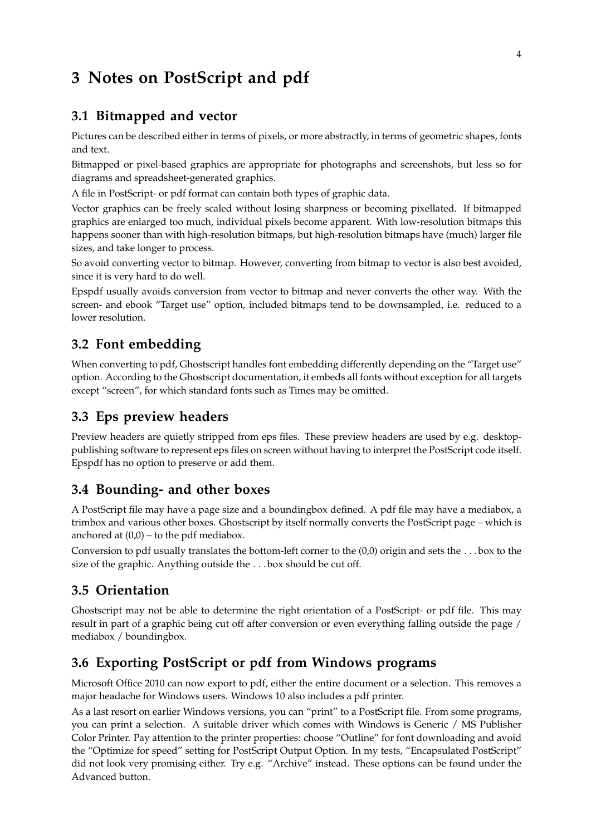# <span id="page-5-0"></span>**3 Notes on PostScript and pdf**

#### **3.1 Bitmapped and vector**

Pictures can be described either in terms of pixels, or more abstractly, in terms of geometric shapes, fonts and text.

Bitmapped or pixel-based graphics are appropriate for photographs and screenshots, but less so for diagrams and spreadsheet-generated graphics.

A file in PostScript- or pdf format can contain both types of graphic data.

Vector graphics can be freely scaled without losing sharpness or becoming pixellated. If bitmapped graphics are enlarged too much, individual pixels become apparent. With low-resolution bitmaps this happens sooner than with high-resolution bitmaps, but high-resolution bitmaps have (much) larger file sizes, and take longer to process.

So avoid converting vector to bitmap. However, converting from bitmap to vector is also best avoided, since it is very hard to do well.

Epspdf usually avoids conversion from vector to bitmap and never converts the other way. With the screen- and ebook "Target use" option, included bitmaps tend to be downsampled, i.e. reduced to a lower resolution.

#### **3.2 Font embedding**

When converting to pdf, Ghostscript handles font embedding differently depending on the "Target use" option. According to the Ghostscript documentation, it embeds all fonts without exception for all targets except "screen", for which standard fonts such as Times may be omitted.

#### **3.3 Eps preview headers**

Preview headers are quietly stripped from eps files. These preview headers are used by e.g. desktoppublishing software to represent eps files on screen without having to interpret the PostScript code itself. Epspdf has no option to preserve or add them.

#### **3.4 Bounding- and other boxes**

A PostScript file may have a page size and a boundingbox defined. A pdf file may have a mediabox, a trimbox and various other boxes. Ghostscript by itself normally converts the PostScript page – which is anchored at  $(0,0)$  – to the pdf mediabox.

Conversion to pdf usually translates the bottom-left corner to the (0,0) origin and sets the . . . box to the size of the graphic. Anything outside the . . . box should be cut off.

#### **3.5 Orientation**

Ghostscript may not be able to determine the right orientation of a PostScript- or pdf file. This may result in part of a graphic being cut off after conversion or even everything falling outside the page / mediabox / boundingbox.

#### **3.6 Exporting PostScript or pdf from Windows programs**

Microsoft Office 2010 can now export to pdf, either the entire document or a selection. This removes a major headache for Windows users. Windows 10 also includes a pdf printer.

As a last resort on earlier Windows versions, you can "print" to a PostScript file. From some programs, you can print a selection. A suitable driver which comes with Windows is Generic / MS Publisher Color Printer. Pay attention to the printer properties: choose "Outline" for font downloading and avoid the "Optimize for speed" setting for PostScript Output Option. In my tests, "Encapsulated PostScript" did not look very promising either. Try e.g. "Archive" instead. These options can be found under the Advanced button.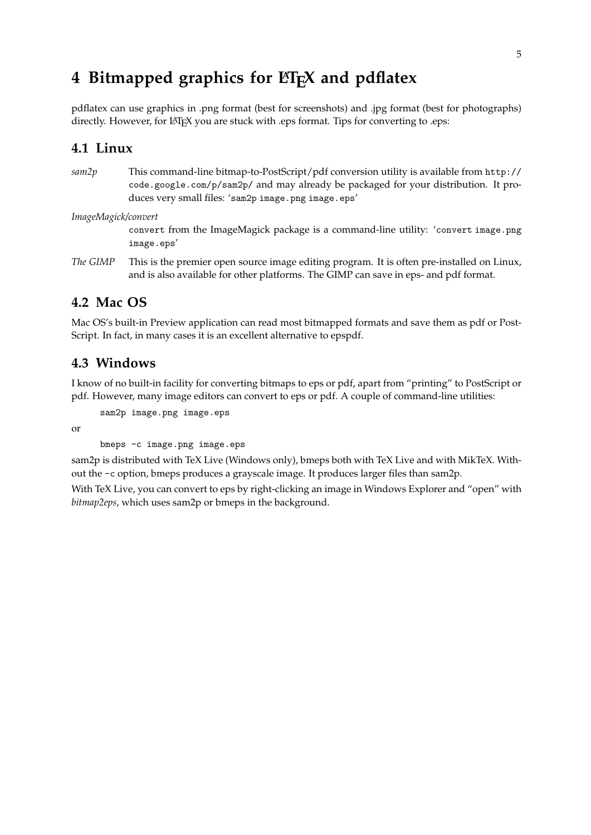# <span id="page-6-0"></span>4 Bitmapped graphics for **LIFX** and pdflatex

pdflatex can use graphics in .png format (best for screenshots) and .jpg format (best for photographs) directly. However, for LATEX you are stuck with .eps format. Tips for converting to .eps:

#### **4.1 Linux**

*sam2p* This command-line bitmap-to-PostScript/pdf conversion utility is available from [http://](http://code.google.com/p/sam2p/) [code.google.com/p/sam2p/](http://code.google.com/p/sam2p/) and may already be packaged for your distribution. It produces very small files: 'sam2p image.png image.eps'

*ImageMagick/convert*

convert from the ImageMagick package is a command-line utility: 'convert image.png image.eps'

*The GIMP* This is the premier open source image editing program. It is often pre-installed on Linux, and is also available for other platforms. The GIMP can save in eps- and pdf format.

#### **4.2 Mac OS**

Mac OS's built-in Preview application can read most bitmapped formats and save them as pdf or Post-Script. In fact, in many cases it is an excellent alternative to epspdf.

#### **4.3 Windows**

I know of no built-in facility for converting bitmaps to eps or pdf, apart from "printing" to PostScript or pdf. However, many image editors can convert to eps or pdf. A couple of command-line utilities:

sam2p image.png image.eps

or

bmeps -c image.png image.eps

sam2p is distributed with TeX Live (Windows only), bmeps both with TeX Live and with MikTeX. Without the -c option, bmeps produces a grayscale image. It produces larger files than sam2p.

With TeX Live, you can convert to eps by right-clicking an image in Windows Explorer and "open" with *bitmap2eps*, which uses sam2p or bmeps in the background.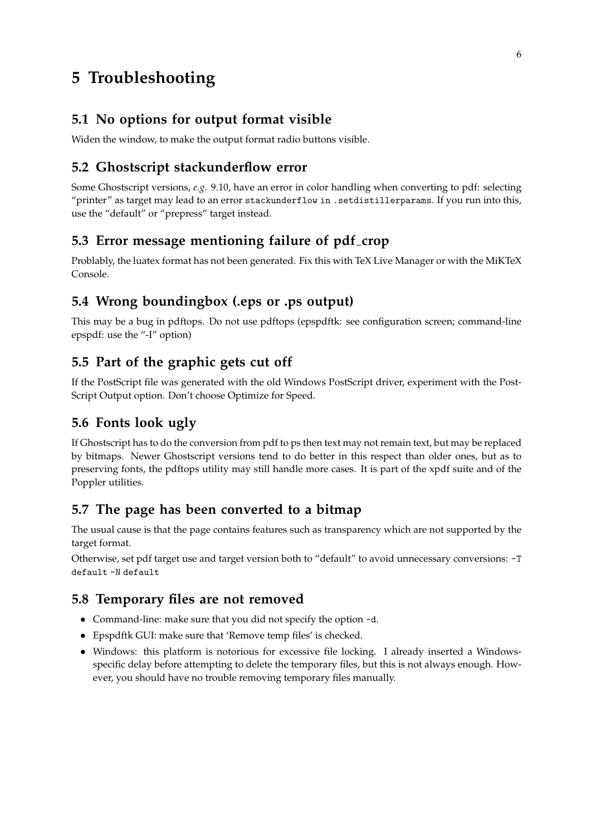# <span id="page-7-0"></span>**5 Troubleshooting**

#### **5.1 No options for output format visible**

Widen the window, to make the output format radio buttons visible.

### **5.2 Ghostscript stackunderflow error**

Some Ghostscript versions, *e.g.* 9.10, have an error in color handling when converting to pdf: selecting "printer" as target may lead to an error stackunderflow in .setdistillerparams. If you run into this, use the "default" or "prepress" target instead.

#### **5.3 Error message mentioning failure of pdf crop**

Problably, the luatex format has not been generated. Fix this with TeX Live Manager or with the MiKTeX Console.

### **5.4 Wrong boundingbox (.eps or .ps output)**

This may be a bug in pdftops. Do not use pdftops (epspdftk: see configuration screen; command-line epspdf: use the "-I" option)

### **5.5 Part of the graphic gets cut off**

If the PostScript file was generated with the old Windows PostScript driver, experiment with the Post-Script Output option. Don't choose Optimize for Speed.

## **5.6 Fonts look ugly**

If Ghostscript has to do the conversion from pdf to ps then text may not remain text, but may be replaced by bitmaps. Newer Ghostscript versions tend to do better in this respect than older ones, but as to preserving fonts, the pdftops utility may still handle more cases. It is part of the xpdf suite and of the Poppler utilities.

## **5.7 The page has been converted to a bitmap**

The usual cause is that the page contains features such as transparency which are not supported by the target format.

Otherwise, set pdf target use and target version both to "default" to avoid unnecessary conversions: -T default -N default

#### **5.8 Temporary files are not removed**

- Command-line: make sure that you did not specify the option -d.
- Epspdftk GUI: make sure that 'Remove temp files' is checked.
- Windows: this platform is notorious for excessive file locking. I already inserted a Windowsspecific delay before attempting to delete the temporary files, but this is not always enough. However, you should have no trouble removing temporary files manually.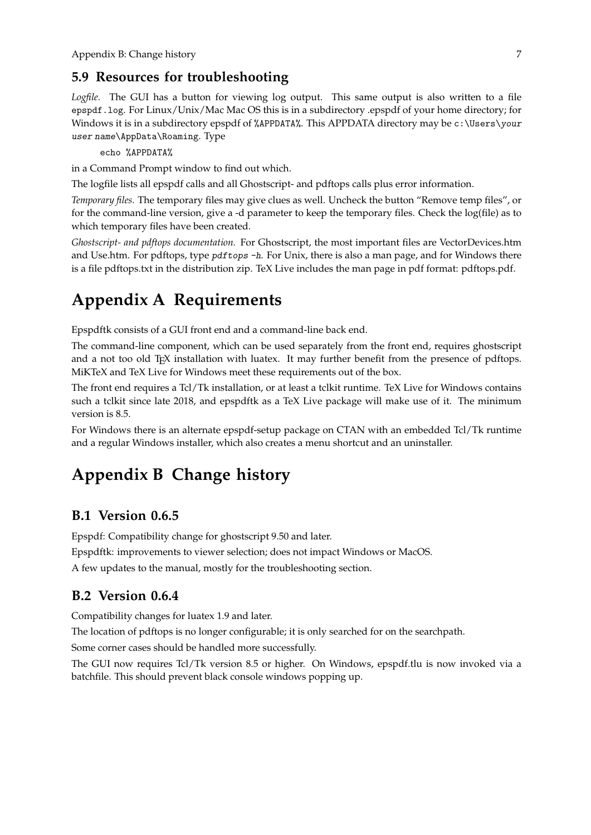#### <span id="page-8-0"></span>**5.9 Resources for troubleshooting**

*Logfile.* The GUI has a button for viewing log output. This same output is also written to a file epspdf.log. For Linux/Unix/Mac Mac OS this is in a subdirectory .epspdf of your home directory; for Windows it is in a subdirectory epspdf of %APPDATA%. This APPDATA directory may be c: \Users\your user name\AppData\Roaming. Type

echo %APPDATA%

in a Command Prompt window to find out which.

The logfile lists all epspdf calls and all Ghostscript- and pdftops calls plus error information.

*Temporary files.* The temporary files may give clues as well. Uncheck the button "Remove temp files", or for the command-line version, give a -d parameter to keep the temporary files. Check the log(file) as to which temporary files have been created.

*Ghostscript- and pdftops documentation.* For Ghostscript, the most important files are VectorDevices.htm and Use.htm. For pdftops, type pdftops -h. For Unix, there is also a man page, and for Windows there is a file pdftops.txt in the distribution zip. TeX Live includes the man page in pdf format: pdftops.pdf.

# **Appendix A Requirements**

Epspdftk consists of a GUI front end and a command-line back end.

The command-line component, which can be used separately from the front end, requires ghostscript and a not too old T<sub>E</sub>X installation with luatex. It may further benefit from the presence of pdftops. MiKTeX and TeX Live for Windows meet these requirements out of the box.

The front end requires a Tcl/Tk installation, or at least a tclkit runtime. TeX Live for Windows contains such a tclkit since late 2018, and epspdftk as a TeX Live package will make use of it. The minimum version is 8.5.

For Windows there is an alternate epspdf-setup package on CTAN with an embedded Tcl/Tk runtime and a regular Windows installer, which also creates a menu shortcut and an uninstaller.

# **Appendix B Change history**

#### **B.1 Version 0.6.5**

Epspdf: Compatibility change for ghostscript 9.50 and later.

Epspdftk: improvements to viewer selection; does not impact Windows or MacOS.

A few updates to the manual, mostly for the troubleshooting section.

#### **B.2 Version 0.6.4**

Compatibility changes for luatex 1.9 and later.

The location of pdftops is no longer configurable; it is only searched for on the searchpath.

Some corner cases should be handled more successfully.

The GUI now requires Tcl/Tk version 8.5 or higher. On Windows, epspdf.tlu is now invoked via a batchfile. This should prevent black console windows popping up.